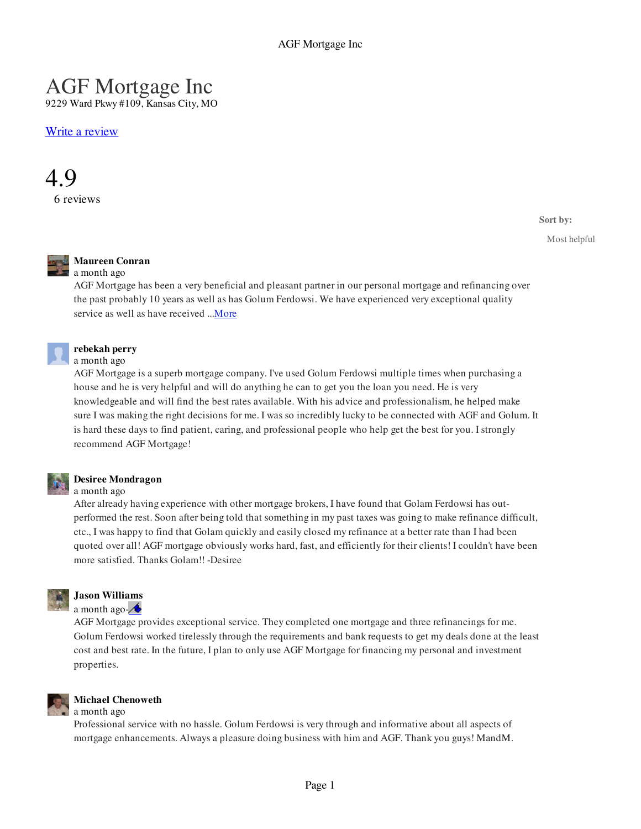# AGF Mortgage Inc

9229 Ward Pkwy #109, Kansas City, MO

Write a review



**Sort by:**

Most helpful



# **Maureen Conran**

## a month ago

AGF Mortgage has been a very beneficial and pleasant partner in our personal mortgage and refinancing over the past probably 10 years as well as has Golum Ferdowsi. We have experienced very exceptional quality service as well as have received ... More



#### **rebekah perry**  a month ago

AGF Mortgage is a superb mortgage company. I've used Golum Ferdowsi multiple times when purchasing a house and he is very helpful and will do anything he can to get you the loan you need. He is very knowledgeable and will find the best rates available. With his advice and professionalism, he helped make sure I was making the right decisions for me. I was so incredibly lucky to be connected with AGF and Golum. It is hard these days to find patient, caring, and professional people who help get the best for you. I strongly recommend AGF Mortgage!

## **Desiree Mondragon**

### a month ago

After already having experience with other mortgage brokers, I have found that Golam Ferdowsi has outperformed the rest. Soon after being told that something in my past taxes was going to make refinance difficult, etc., I was happy to find that Golam quickly and easily closed my refinance at a better rate than I had been quoted over all! AGF mortgage obviously works hard, fast, and efficiently for their clients! I couldn't have been more satisfied. Thanks Golam!! -Desiree



# **Jason Williams**

a month ago- $\triangle$ 

AGF Mortgage provides exceptional service. They completed one mortgage and three refinancings for me. Golum Ferdowsi worked tirelessly through the requirements and bank requests to get my deals done at the least cost and best rate. In the future, I plan to only use AGF Mortgage for financing my personal and investment properties.



#### **Michael Chenoweth**  a month ago

Professional service with no hassle. Golum Ferdowsi is very through and informative about all aspects of mortgage enhancements. Always a pleasure doing business with him and AGF. Thank you guys! MandM.